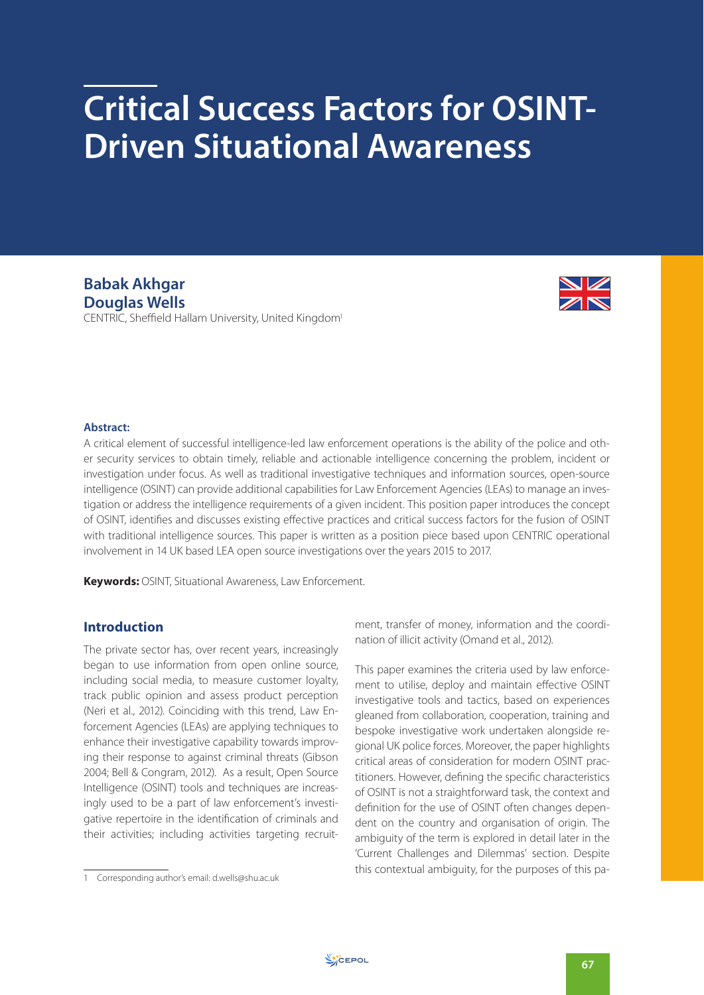# **Critical Success Factors for OSINT-Driven Situational Awareness**

**Babak Akhgar Douglas Wells** CENTRIC, Sheffield Hallam University, United Kingdom1



#### **Abstract:**

A critical element of successful intelligence-led law enforcement operations is the ability of the police and other security services to obtain timely, reliable and actionable intelligence concerning the problem, incident or investigation under focus. As well as traditional investigative techniques and information sources, open-source intelligence (OSINT) can provide additional capabilities for Law Enforcement Agencies (LEAs) to manage an investigation or address the intelligence requirements of a given incident. This position paper introduces the concept of OSINT, identifies and discusses existing effective practices and critical success factors for the fusion of OSINT with traditional intelligence sources. This paper is written as a position piece based upon CENTRIC operational involvement in 14 UK based LEA open source investigations over the years 2015 to 2017.

**Keywords:** OSINT, Situational Awareness, Law Enforcement.

# **Introduction**

The private sector has, over recent years, increasingly began to use information from open online source, including social media, to measure customer loyalty, track public opinion and assess product perception (Neri et al., 2012). Coinciding with this trend, Law Enforcement Agencies (LEAs) are applying techniques to enhance their investigative capability towards improving their response to against criminal threats (Gibson 2004; Bell & Congram, 2012). As a result, Open Source Intelligence (OSINT) tools and techniques are increasingly used to be a part of law enforcement's investigative repertoire in the identification of criminals and their activities; including activities targeting recruitment, transfer of money, information and the coordination of illicit activity (Omand et al., 2012).

This paper examines the criteria used by law enforcement to utilise, deploy and maintain effective OSINT investigative tools and tactics, based on experiences gleaned from collaboration, cooperation, training and bespoke investigative work undertaken alongside regional UK police forces. Moreover, the paper highlights critical areas of consideration for modern OSINT practitioners. However, defining the specific characteristics of OSINT is not a straightforward task, the context and definition for the use of OSINT often changes dependent on the country and organisation of origin. The ambiguity of the term is explored in detail later in the 'Current Challenges and Dilemmas' section. Despite this contextual ambiguity, for the purposes of this pa-

<sup>1</sup> Corresponding author's email: d.wells@shu.ac.uk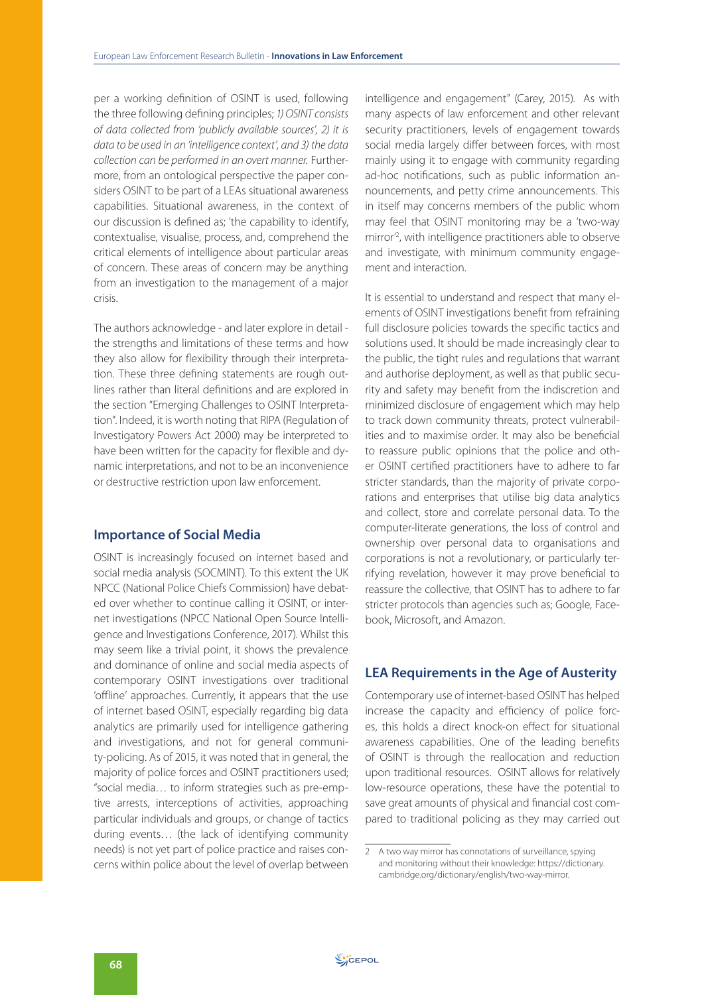per a working definition of OSINT is used, following the three following defining principles; 1) OSINT consists of data collected from 'publicly available sources', 2) it is data to be used in an 'intelligence context', and 3) the data collection can be performed in an overt manner. Furthermore, from an ontological perspective the paper considers OSINT to be part of a LEAs situational awareness capabilities. Situational awareness, in the context of our discussion is defined as; 'the capability to identify, contextualise, visualise, process, and, comprehend the critical elements of intelligence about particular areas of concern. These areas of concern may be anything from an investigation to the management of a major crisis.

The authors acknowledge - and later explore in detail the strengths and limitations of these terms and how they also allow for flexibility through their interpretation. These three defining statements are rough outlines rather than literal definitions and are explored in the section "Emerging Challenges to OSINT Interpretation". Indeed, it is worth noting that RIPA (Regulation of Investigatory Powers Act 2000) may be interpreted to have been written for the capacity for flexible and dynamic interpretations, and not to be an inconvenience or destructive restriction upon law enforcement.

# **Importance of Social Media**

OSINT is increasingly focused on internet based and social media analysis (SOCMINT). To this extent the UK NPCC (National Police Chiefs Commission) have debated over whether to continue calling it OSINT, or internet investigations (NPCC National Open Source Intelligence and Investigations Conference, 2017). Whilst this may seem like a trivial point, it shows the prevalence and dominance of online and social media aspects of contemporary OSINT investigations over traditional 'offline' approaches. Currently, it appears that the use of internet based OSINT, especially regarding big data analytics are primarily used for intelligence gathering and investigations, and not for general community-policing. As of 2015, it was noted that in general, the majority of police forces and OSINT practitioners used; "social media… to inform strategies such as pre-emptive arrests, interceptions of activities, approaching particular individuals and groups, or change of tactics during events… (the lack of identifying community needs) is not yet part of police practice and raises concerns within police about the level of overlap between

intelligence and engagement" (Carey, 2015). As with many aspects of law enforcement and other relevant security practitioners, levels of engagement towards social media largely differ between forces, with most mainly using it to engage with community regarding ad-hoc notifications, such as public information announcements, and petty crime announcements. This in itself may concerns members of the public whom may feel that OSINT monitoring may be a 'two-way mirror'2 , with intelligence practitioners able to observe and investigate, with minimum community engagement and interaction.

It is essential to understand and respect that many elements of OSINT investigations benefit from refraining full disclosure policies towards the specific tactics and solutions used. It should be made increasingly clear to the public, the tight rules and regulations that warrant and authorise deployment, as well as that public security and safety may benefit from the indiscretion and minimized disclosure of engagement which may help to track down community threats, protect vulnerabilities and to maximise order. It may also be beneficial to reassure public opinions that the police and other OSINT certified practitioners have to adhere to far stricter standards, than the majority of private corporations and enterprises that utilise big data analytics and collect, store and correlate personal data. To the computer-literate generations, the loss of control and ownership over personal data to organisations and corporations is not a revolutionary, or particularly terrifying revelation, however it may prove beneficial to reassure the collective, that OSINT has to adhere to far stricter protocols than agencies such as; Google, Facebook, Microsoft, and Amazon.

# **LEA Requirements in the Age of Austerity**

Contemporary use of internet-based OSINT has helped increase the capacity and efficiency of police forces, this holds a direct knock-on effect for situational awareness capabilities. One of the leading benefits of OSINT is through the reallocation and reduction upon traditional resources. OSINT allows for relatively low-resource operations, these have the potential to save great amounts of physical and financial cost compared to traditional policing as they may carried out

<sup>2</sup> A two way mirror has connotations of surveillance, spying and monitoring without their knowledge: https://dictionary. cambridge.org/dictionary/english/two-way-mirror.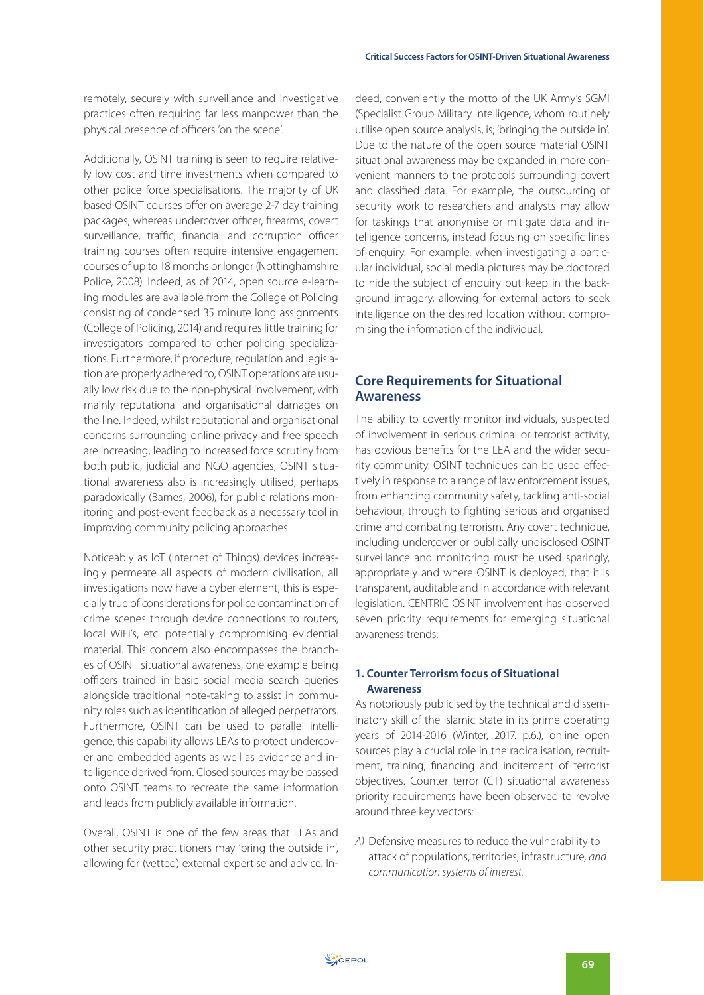remotely, securely with surveillance and investigative practices often requiring far less manpower than the physical presence of officers 'on the scene'.

Additionally, OSINT training is seen to require relatively low cost and time investments when compared to other police force specialisations. The majority of UK based OSINT courses offer on average 2-7 day training packages, whereas undercover officer, firearms, covert surveillance, traffic, financial and corruption officer training courses often require intensive engagement courses of up to 18 months or longer (Nottinghamshire Police, 2008). Indeed, as of 2014, open source e-learning modules are available from the College of Policing consisting of condensed 35 minute long assignments (College of Policing, 2014) and requires little training for investigators compared to other policing specializations. Furthermore, if procedure, regulation and legislation are properly adhered to, OSINT operations are usually low risk due to the non-physical involvement, with mainly reputational and organisational damages on the line. Indeed, whilst reputational and organisational concerns surrounding online privacy and free speech are increasing, leading to increased force scrutiny from both public, judicial and NGO agencies, OSINT situational awareness also is increasingly utilised, perhaps paradoxically (Barnes, 2006), for public relations monitoring and post-event feedback as a necessary tool in improving community policing approaches.

Noticeably as IoT (Internet of Things) devices increasingly permeate all aspects of modern civilisation, all investigations now have a cyber element, this is especially true of considerations for police contamination of crime scenes through device connections to routers, local WiFi's, etc. potentially compromising evidential material. This concern also encompasses the branches of OSINT situational awareness, one example being officers trained in basic social media search queries alongside traditional note-taking to assist in community roles such as identification of alleged perpetrators. Furthermore, OSINT can be used to parallel intelligence, this capability allows LEAs to protect undercover and embedded agents as well as evidence and intelligence derived from. Closed sources may be passed onto OSINT teams to recreate the same information and leads from publicly available information.

Overall, OSINT is one of the few areas that LEAs and other security practitioners may 'bring the outside in', allowing for (vetted) external expertise and advice. Indeed, conveniently the motto of the UK Army's SGMI (Specialist Group Military Intelligence, whom routinely utilise open source analysis, is; 'bringing the outside in'. Due to the nature of the open source material OSINT situational awareness may be expanded in more convenient manners to the protocols surrounding covert and classified data. For example, the outsourcing of security work to researchers and analysts may allow for taskings that anonymise or mitigate data and intelligence concerns, instead focusing on specific lines of enquiry. For example, when investigating a particular individual, social media pictures may be doctored to hide the subject of enquiry but keep in the background imagery, allowing for external actors to seek intelligence on the desired location without compromising the information of the individual.

# **Core Requirements for Situational Awareness**

The ability to covertly monitor individuals, suspected of involvement in serious criminal or terrorist activity, has obvious benefits for the LEA and the wider security community. OSINT techniques can be used effectively in response to a range of law enforcement issues, from enhancing community safety, tackling anti-social behaviour, through to fighting serious and organised crime and combating terrorism. Any covert technique, including undercover or publically undisclosed OSINT surveillance and monitoring must be used sparingly, appropriately and where OSINT is deployed, that it is transparent, auditable and in accordance with relevant legislation. CENTRIC OSINT involvement has observed seven priority requirements for emerging situational awareness trends:

## **1. Counter Terrorism focus of Situational Awareness**

As notoriously publicised by the technical and disseminatory skill of the Islamic State in its prime operating years of 2014-2016 (Winter, 2017. p.6.), online open sources play a crucial role in the radicalisation, recruitment, training, financing and incitement of terrorist objectives. Counter terror (CT) situational awareness priority requirements have been observed to revolve around three key vectors:

A) Defensive measures to reduce the vulnerability to attack of populations, territories, infrastructure, and communication systems of interest.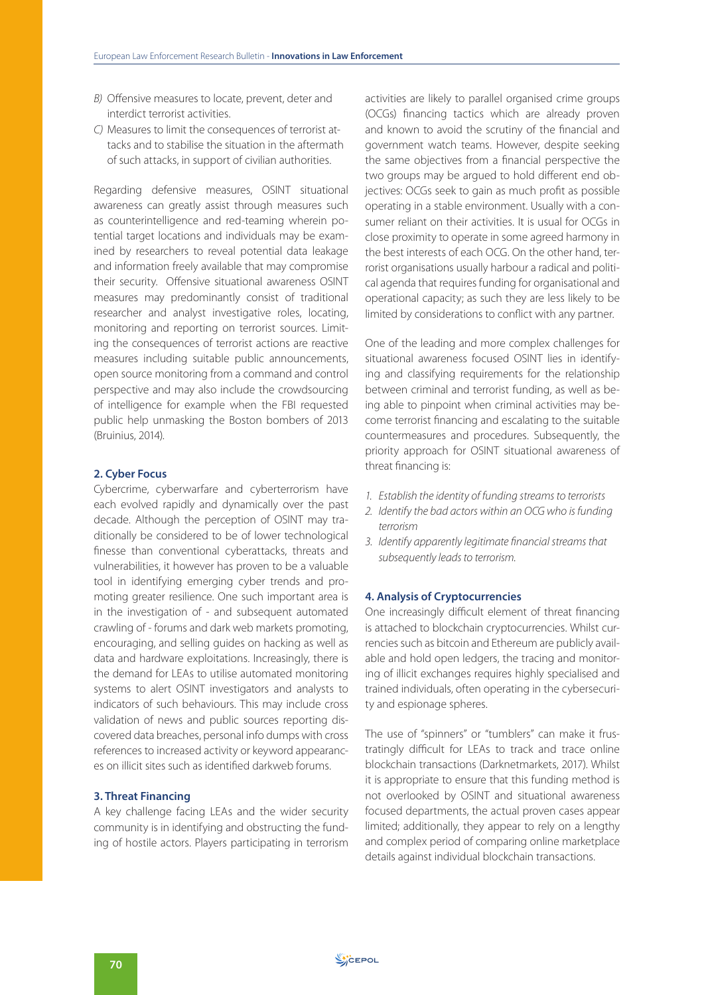- B) Offensive measures to locate, prevent, deter and interdict terrorist activities.
- C) Measures to limit the consequences of terrorist attacks and to stabilise the situation in the aftermath of such attacks, in support of civilian authorities.

Regarding defensive measures, OSINT situational awareness can greatly assist through measures such as counterintelligence and red-teaming wherein potential target locations and individuals may be examined by researchers to reveal potential data leakage and information freely available that may compromise their security. Offensive situational awareness OSINT measures may predominantly consist of traditional researcher and analyst investigative roles, locating, monitoring and reporting on terrorist sources. Limiting the consequences of terrorist actions are reactive measures including suitable public announcements, open source monitoring from a command and control perspective and may also include the crowdsourcing of intelligence for example when the FBI requested public help unmasking the Boston bombers of 2013 (Bruinius, 2014).

#### **2. Cyber Focus**

Cybercrime, cyberwarfare and cyberterrorism have each evolved rapidly and dynamically over the past decade. Although the perception of OSINT may traditionally be considered to be of lower technological finesse than conventional cyberattacks, threats and vulnerabilities, it however has proven to be a valuable tool in identifying emerging cyber trends and promoting greater resilience. One such important area is in the investigation of - and subsequent automated crawling of - forums and dark web markets promoting, encouraging, and selling guides on hacking as well as data and hardware exploitations. Increasingly, there is the demand for LEAs to utilise automated monitoring systems to alert OSINT investigators and analysts to indicators of such behaviours. This may include cross validation of news and public sources reporting discovered data breaches, personal info dumps with cross references to increased activity or keyword appearances on illicit sites such as identified darkweb forums.

#### **3. Threat Financing**

A key challenge facing LEAs and the wider security community is in identifying and obstructing the funding of hostile actors. Players participating in terrorism

activities are likely to parallel organised crime groups (OCGs) financing tactics which are already proven and known to avoid the scrutiny of the financial and government watch teams. However, despite seeking the same objectives from a financial perspective the two groups may be argued to hold different end objectives: OCGs seek to gain as much profit as possible operating in a stable environment. Usually with a consumer reliant on their activities. It is usual for OCGs in close proximity to operate in some agreed harmony in the best interests of each OCG. On the other hand, terrorist organisations usually harbour a radical and political agenda that requires funding for organisational and operational capacity; as such they are less likely to be limited by considerations to conflict with any partner.

One of the leading and more complex challenges for situational awareness focused OSINT lies in identifying and classifying requirements for the relationship between criminal and terrorist funding, as well as being able to pinpoint when criminal activities may become terrorist financing and escalating to the suitable countermeasures and procedures. Subsequently, the priority approach for OSINT situational awareness of threat financing is:

- 1. Establish the identity of funding streams to terrorists
- 2. Identify the bad actors within an OCG who is funding terrorism
- 3. Identify apparently legitimate financial streams that subsequently leads to terrorism.

#### **4. Analysis of Cryptocurrencies**

One increasingly difficult element of threat financing is attached to blockchain cryptocurrencies. Whilst currencies such as bitcoin and Ethereum are publicly available and hold open ledgers, the tracing and monitoring of illicit exchanges requires highly specialised and trained individuals, often operating in the cybersecurity and espionage spheres.

The use of "spinners" or "tumblers" can make it frustratingly difficult for LEAs to track and trace online blockchain transactions (Darknetmarkets, 2017). Whilst it is appropriate to ensure that this funding method is not overlooked by OSINT and situational awareness focused departments, the actual proven cases appear limited; additionally, they appear to rely on a lengthy and complex period of comparing online marketplace details against individual blockchain transactions.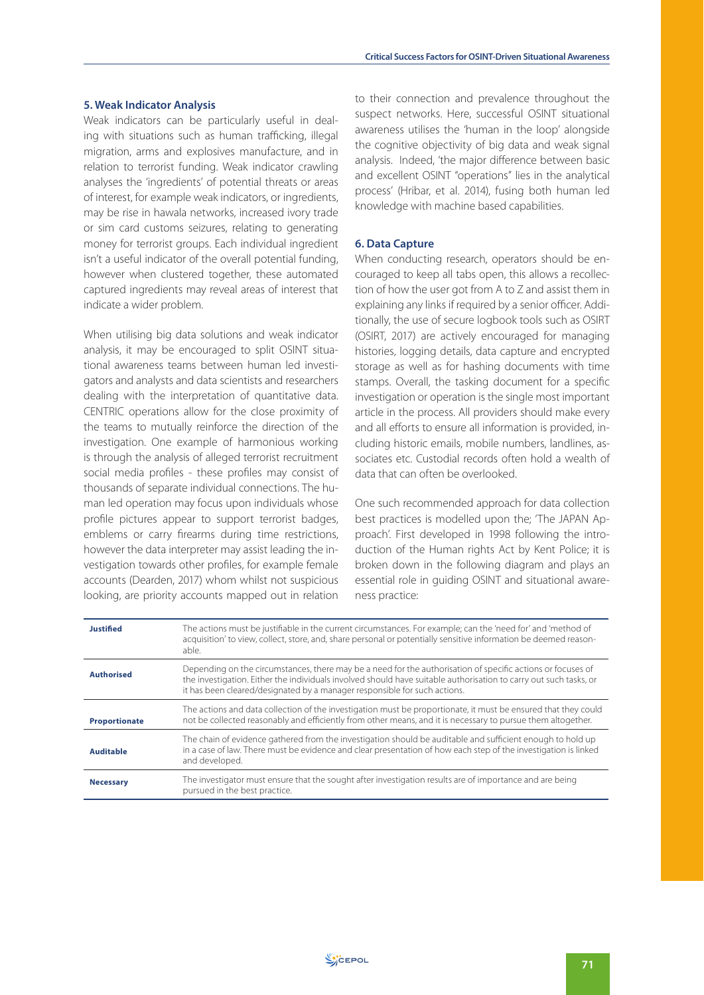#### **5. Weak Indicator Analysis**

Weak indicators can be particularly useful in dealing with situations such as human trafficking, illegal migration, arms and explosives manufacture, and in relation to terrorist funding. Weak indicator crawling analyses the 'ingredients' of potential threats or areas of interest, for example weak indicators, or ingredients, may be rise in hawala networks, increased ivory trade or sim card customs seizures, relating to generating money for terrorist groups. Each individual ingredient isn't a useful indicator of the overall potential funding, however when clustered together, these automated captured ingredients may reveal areas of interest that indicate a wider problem.

When utilising big data solutions and weak indicator analysis, it may be encouraged to split OSINT situational awareness teams between human led investigators and analysts and data scientists and researchers dealing with the interpretation of quantitative data. CENTRIC operations allow for the close proximity of the teams to mutually reinforce the direction of the investigation. One example of harmonious working is through the analysis of alleged terrorist recruitment social media profiles - these profiles may consist of thousands of separate individual connections. The human led operation may focus upon individuals whose profile pictures appear to support terrorist badges, emblems or carry firearms during time restrictions, however the data interpreter may assist leading the investigation towards other profiles, for example female accounts (Dearden, 2017) whom whilst not suspicious looking, are priority accounts mapped out in relation

to their connection and prevalence throughout the suspect networks. Here, successful OSINT situational awareness utilises the 'human in the loop' alongside the cognitive objectivity of big data and weak signal analysis. Indeed, 'the major difference between basic and excellent OSINT "operations" lies in the analytical process' (Hribar, et al. 2014), fusing both human led knowledge with machine based capabilities.

## **6. Data Capture**

When conducting research, operators should be encouraged to keep all tabs open, this allows a recollection of how the user got from A to Z and assist them in explaining any links if required by a senior officer. Additionally, the use of secure logbook tools such as OSIRT (OSIRT, 2017) are actively encouraged for managing histories, logging details, data capture and encrypted storage as well as for hashing documents with time stamps. Overall, the tasking document for a specific investigation or operation is the single most important article in the process. All providers should make every and all efforts to ensure all information is provided, including historic emails, mobile numbers, landlines, associates etc. Custodial records often hold a wealth of data that can often be overlooked.

One such recommended approach for data collection best practices is modelled upon the; 'The JAPAN Approach'. First developed in 1998 following the introduction of the Human rights Act by Kent Police; it is broken down in the following diagram and plays an essential role in guiding OSINT and situational awareness practice:

| Justified            | The actions must be justifiable in the current circumstances. For example; can the 'need for' and 'method of<br>acquisition' to view, collect, store, and, share personal or potentially sensitive information be deemed reason-<br>able.                                                                     |
|----------------------|---------------------------------------------------------------------------------------------------------------------------------------------------------------------------------------------------------------------------------------------------------------------------------------------------------------|
| <b>Authorised</b>    | Depending on the circumstances, there may be a need for the authorisation of specific actions or focuses of<br>the investigation. Either the individuals involved should have suitable authorisation to carry out such tasks, or<br>it has been cleared/designated by a manager responsible for such actions. |
| <b>Proportionate</b> | The actions and data collection of the investigation must be proportionate, it must be ensured that they could<br>not be collected reasonably and efficiently from other means, and it is necessary to pursue them altogether.                                                                                |
| <b>Auditable</b>     | The chain of evidence gathered from the investigation should be auditable and sufficient enough to hold up<br>in a case of law. There must be evidence and clear presentation of how each step of the investigation is linked<br>and developed.                                                               |
| <b>Necessary</b>     | The investigator must ensure that the sought after investigation results are of importance and are being<br>pursued in the best practice.                                                                                                                                                                     |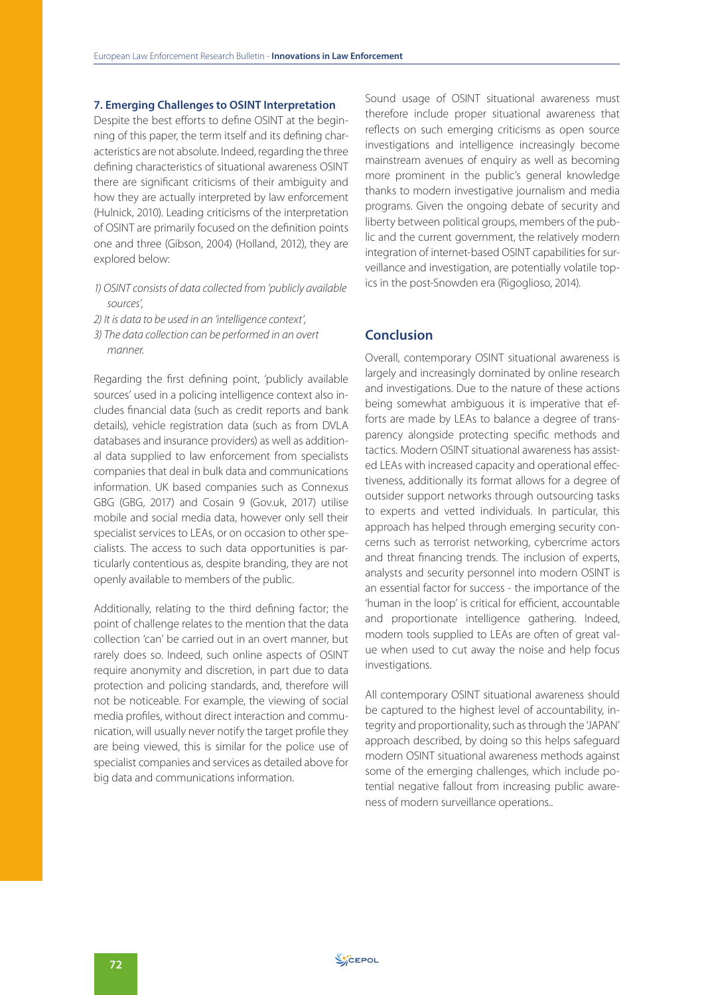#### **7. Emerging Challenges to OSINT Interpretation**

Despite the best efforts to define OSINT at the beginning of this paper, the term itself and its defining characteristics are not absolute. Indeed, regarding the three defining characteristics of situational awareness OSINT there are significant criticisms of their ambiguity and how they are actually interpreted by law enforcement (Hulnick, 2010). Leading criticisms of the interpretation of OSINT are primarily focused on the definition points one and three (Gibson, 2004) (Holland, 2012), they are explored below:

- 1) OSINT consists of data collected from 'publicly available sources',
- 2) It is data to be used in an 'intelligence context',
- 3) The data collection can be performed in an overt manner.

Regarding the first defining point, 'publicly available sources' used in a policing intelligence context also includes financial data (such as credit reports and bank details), vehicle registration data (such as from DVLA databases and insurance providers) as well as additional data supplied to law enforcement from specialists companies that deal in bulk data and communications information. UK based companies such as Connexus GBG (GBG, 2017) and Cosain 9 (Gov.uk, 2017) utilise mobile and social media data, however only sell their specialist services to LEAs, or on occasion to other specialists. The access to such data opportunities is particularly contentious as, despite branding, they are not openly available to members of the public.

Additionally, relating to the third defining factor; the point of challenge relates to the mention that the data collection 'can' be carried out in an overt manner, but rarely does so. Indeed, such online aspects of OSINT require anonymity and discretion, in part due to data protection and policing standards, and, therefore will not be noticeable. For example, the viewing of social media profiles, without direct interaction and communication, will usually never notify the target profile they are being viewed, this is similar for the police use of specialist companies and services as detailed above for big data and communications information.

Sound usage of OSINT situational awareness must therefore include proper situational awareness that reflects on such emerging criticisms as open source investigations and intelligence increasingly become mainstream avenues of enquiry as well as becoming more prominent in the public's general knowledge thanks to modern investigative journalism and media programs. Given the ongoing debate of security and liberty between political groups, members of the public and the current government, the relatively modern integration of internet-based OSINT capabilities for surveillance and investigation, are potentially volatile topics in the post-Snowden era (Rigoglioso, 2014).

# **Conclusion**

Overall, contemporary OSINT situational awareness is largely and increasingly dominated by online research and investigations. Due to the nature of these actions being somewhat ambiguous it is imperative that efforts are made by LEAs to balance a degree of transparency alongside protecting specific methods and tactics. Modern OSINT situational awareness has assisted LEAs with increased capacity and operational effectiveness, additionally its format allows for a degree of outsider support networks through outsourcing tasks to experts and vetted individuals. In particular, this approach has helped through emerging security concerns such as terrorist networking, cybercrime actors and threat financing trends. The inclusion of experts, analysts and security personnel into modern OSINT is an essential factor for success - the importance of the 'human in the loop' is critical for efficient, accountable and proportionate intelligence gathering. Indeed, modern tools supplied to LEAs are often of great value when used to cut away the noise and help focus investigations.

All contemporary OSINT situational awareness should be captured to the highest level of accountability, integrity and proportionality, such as through the 'JAPAN' approach described, by doing so this helps safeguard modern OSINT situational awareness methods against some of the emerging challenges, which include potential negative fallout from increasing public awareness of modern surveillance operations..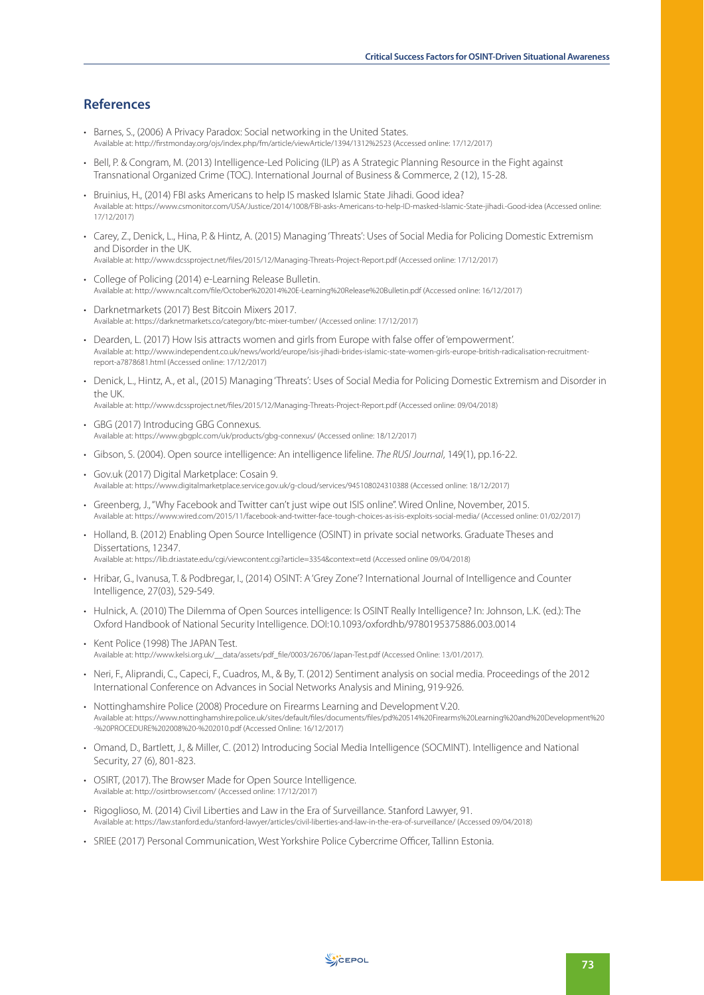# **References**

- Barnes, S., (2006) A Privacy Paradox: Social networking in the United States. Available at: http://firstmonday.org/ojs/index.php/fm/article/viewArticle/1394/1312%2523 (Accessed online: 17/12/2017)
- Bell, P. & Congram, M. (2013) Intelligence-Led Policing (ILP) as A Strategic Planning Resource in the Fight against Transnational Organized Crime (TOC). International Journal of Business & Commerce, 2 (12), 15-28.
- Bruinius, H., (2014) FBI asks Americans to help IS masked Islamic State Jihadi. Good idea? Available at: https://www.csmonitor.com/USA/Justice/2014/1008/FBI-asks-Americans-to-help-ID-masked-Islamic-State-jihadi.-Good-idea (Accessed online: 17/12/2017)
- Carey, Z., Denick, L., Hina, P. & Hintz, A. (2015) Managing 'Threats': Uses of Social Media for Policing Domestic Extremism and Disorder in the UK. Available at: http://www.dcssproject.net/files/2015/12/Managing-Threats-Project-Report.pdf (Accessed online: 17/12/2017)
- College of Policing (2014) e-Learning Release Bulletin. Available at: http://www.ncalt.com/file/October%202014%20E-Learning%20Release%20Bulletin.pdf (Accessed online: 16/12/2017)
- Darknetmarkets (2017) Best Bitcoin Mixers 2017. Available at: https://darknetmarkets.co/category/btc-mixer-tumber/ (Accessed online: 17/12/2017)
- Dearden, L. (2017) How Isis attracts women and girls from Europe with false offer of 'empowerment'. Available at: http://www.independent.co.uk/news/world/europe/isis-jihadi-brides-islamic-state-women-girls-europe-british-radicalisation-recruitmentreport-a7878681.html (Accessed online: 17/12/2017)
- Denick, L., Hintz, A., et al., (2015) Managing 'Threats': Uses of Social Media for Policing Domestic Extremism and Disorder in the UK. Available at: http://www.dcssproject.net/files/2015/12/Managing-Threats-Project-Report.pdf (Accessed online: 09/04/2018)
- GBG (2017) Introducing GBG Connexus. Available at: https://www.gbgplc.com/uk/products/gbg-connexus/ (Accessed online: 18/12/2017)
- Gibson, S. (2004). Open source intelligence: An intelligence lifeline. The RUSI Journal, 149(1), pp.16-22.
- Gov.uk (2017) Digital Marketplace: Cosain 9. Available at: https://www.digitalmarketplace.service.gov.uk/g-cloud/services/945108024310388 (Accessed online: 18/12/2017)
- Greenberg, J., "Why Facebook and Twitter can't just wipe out ISIS online". Wired Online, November, 2015. Available at: https://www.wired.com/2015/11/facebook-and-twitter-face-tough-choices-as-isis-exploits-social-media/ (Accessed online: 01/02/2017)
- Holland, B. (2012) Enabling Open Source Intelligence (OSINT) in private social networks. Graduate Theses and Dissertations, 12347. Available at: https://lib.dr.iastate.edu/cgi/viewcontent.cgi?article=3354&context=etd (Accessed online 09/04/2018)
- Hribar, G., Ivanusa, T. & Podbregar, I., (2014) OSINT: A 'Grey Zone'? International Journal of Intelligence and Counter Intelligence, 27(03), 529-549.
- Hulnick, A. (2010) The Dilemma of Open Sources intelligence: Is OSINT Really Intelligence? In: Johnson, L.K. (ed.): The Oxford Handbook of National Security Intelligence. DOI:10.1093/oxfordhb/9780195375886.003.0014
- Kent Police (1998) The JAPAN Test. Available at: http://www.kelsi.org.uk/\_\_data/assets/pdf\_file/0003/26706/Japan-Test.pdf (Accessed Online: 13/01/2017).
- Neri, F., Aliprandi, C., Capeci, F., Cuadros, M., & By, T. (2012) Sentiment analysis on social media. Proceedings of the 2012 International Conference on Advances in Social Networks Analysis and Mining, 919-926.
- Nottinghamshire Police (2008) Procedure on Firearms Learning and Development V.20. Available at: https://www.nottinghamshire.police.uk/sites/default/files/documents/files/pd%20514%20Firearms%20Learning%20and%20Development%20 -%20PROCEDURE%202008%20-%202010.pdf (Accessed Online: 16/12/2017)
- Omand, D., Bartlett, J., & Miller, C. (2012) Introducing Social Media Intelligence (SOCMINT). Intelligence and National Security, 27 (6), 801-823.
- OSIRT, (2017). The Browser Made for Open Source Intelligence. Available at: http://osirtbrowser.com/ (Accessed online: 17/12/2017)
- Rigoglioso, M. (2014) Civil Liberties and Law in the Era of Surveillance. Stanford Lawyer, 91. Available at: https://law.stanford.edu/stanford-lawyer/articles/civil-liberties-and-law-in-the-era-of-surveillance/ (Accessed 09/04/2018)
- SRIEE (2017) Personal Communication, West Yorkshire Police Cybercrime Officer, Tallinn Estonia.